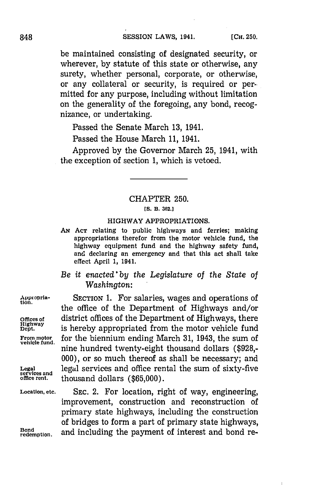be maintained consisting of designated security, or wherever, **by** statute of this state or otherwise, any surety, whether personal, corporate, or otherwise, or any collateral or security, is required or permitted for any purpose, including without limitation on the generality of the foregoing, any bond, recognizance, or undertaking.

Passed the Senate March **13,** 1941.

Passed the House March **11,** 1941.

Approved **by** the Governor March **25,** 1941, with the exception of section **1,** which is vetoed.

## CHAPTER **250.**

#### **[S. B. 362.]**

#### HIGHWAY APPROPRIATIONS.

- **AN ACT** relating to public highways and ferries; making appropriations therefor from the motor vehicle fund, the highway equipment fund and the highway safety fund, and declaring an emergency and that this act shall take effect April **1,** 1941.
- *Be it enae'by the Legislature of the State of Washington:*

Appropria- **SECTION 1.** For salaries, wages and operations of the office of the Department of Highways and/or **Offices of** district offices of the Department of Highways, there **Highway** is hereby appropriated from the motor vehicle fund is hereby appropriated from the motor vehicle fund From motor for the biennium ending March 31, 1943, the sum of vehicle fund. nine hundred twenty-eight thousand dollars (\$928,-**000),** or so much thereof as shall be necessary; and Legal **legal services and office rental the sum of sixty-five** services and **help in thousand dollars** (\$65,000) **office rent.** thousand dollars **(\$65,000).**

**Location, etc.** SEC. 2. For location, right of way, engineering, improvement, construction and reconstruction of primary state highways, including the construction of bridges to form a part of primary state highways,<br>
redemption. and including the payment of interest and bond reand including the payment of interest and bond re-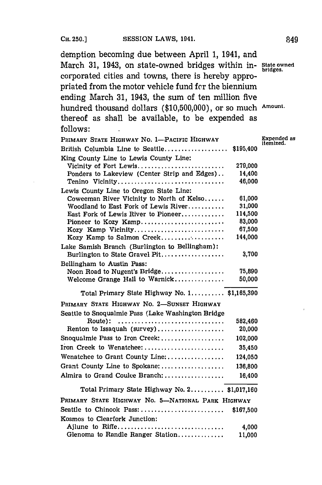demption becoming due between April **1,** 1941, and March **31,** 1943, on state-owned bridges within in- **State owned** corporated cities and towns, there is hereby appropriated from the motor vehicle fund for the biennium ending March **31,** 1943, the sum of ten million five hundred thousand dollars **(\$10,500,000),** or so much **Amount.** thereof as shall be available, to be expended as **follows:**

| PRIMARY STATE HIGHWAY NO. 1-PACIFIC HIGHWAY                               |           | Expended as<br>itemized. |
|---------------------------------------------------------------------------|-----------|--------------------------|
| British Columbia Line to Seattle                                          | \$195,400 |                          |
| King County Line to Lewis County Line:                                    |           |                          |
| Vicinity of Fort Lewis                                                    | 279,000   |                          |
| Ponders to Lakeview (Center Strip and Edges)                              | 14,400    |                          |
| Tenino Vicinity                                                           | 46,000    |                          |
| Lewis County Line to Oregon State Line:                                   |           |                          |
| Coweeman River Vicinity to North of Kelso                                 | 61,000    |                          |
| Woodland to East Fork of Lewis River                                      | 31,000    |                          |
| East Fork of Lewis River to Pioneer                                       | 114,500   |                          |
| Pioneer to Kozy Kamp                                                      | 83,000    |                          |
| Kozy Kamp Vicinity                                                        | 67,500    |                          |
| Kozy Kamp to Salmon Creek                                                 | 144,000   |                          |
| Lake Samish Branch (Burlington to Bellingham):                            |           |                          |
| Burlington to State Gravel Pit                                            | 3,700     |                          |
| Bellingham to Austin Pass:                                                |           |                          |
| Noon Road to Nugent's Bridge                                              | 75,890    |                          |
| Welcome Grange Hall to Warnick                                            | 50,000    |                          |
| Total Primary State Highway No. 1 \$1,165,390                             |           |                          |
| PRIMARY STATE HIGHWAY NO. 2-SUNSET HIGHWAY                                |           |                          |
| Seattle to Snoqualmie Pass (Lake Washington Bridge                        |           |                          |
| Route):                                                                   | 582,460   |                          |
| Renton to Issaquah (survey)                                               | 20,000    |                          |
| Snoqualmie Pass to Iron Creek:                                            | 102,000   |                          |
| Iron Creek to Wenatchee:                                                  | 35,450    |                          |
| Wenatchee to Grant County Line:                                           | 124,050   |                          |
| Grant County Line to Spokane:                                             | 136,800   |                          |
| Almira to Grand Coulee Branch:                                            | 16,400    |                          |
| Total Primary State Highway No. $2, \ldots, \ldots$ , \$1,017,160         |           |                          |
| PRIMARY STATE HIGHWAY NO. 5-NATIONAL PARK HIGHWAY                         |           |                          |
| Seattle to Chinook Pass: $\ldots, \ldots, \ldots, \ldots, \ldots, \ldots$ | \$167,500 |                          |
| Kosmos to Clearfork Junction:                                             |           |                          |
| Ajlune to Riffe                                                           | 4,000     |                          |
| Glenoma to Randle Ranger Station                                          | 11,000    |                          |
|                                                                           |           |                          |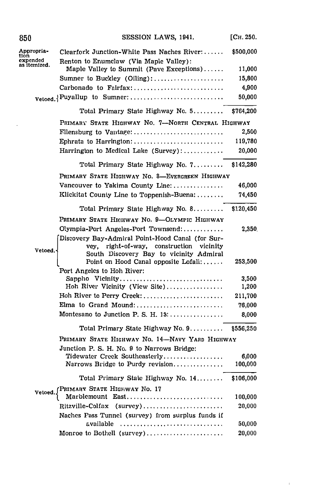| 850                              | SESSION LAWS, 1941.                               | [Сн. 250. |
|----------------------------------|---------------------------------------------------|-----------|
| Appropria-                       | Clearfork Junction-White Pass Naches River:       | \$500,000 |
| tion<br>expended<br>as itemized. | Renton to Enumclaw (Via Maple Valley):            |           |
|                                  | Maple Valley to Summit (Pave Exceptions)          | 11,000    |
|                                  | Sumner to Buckley (Oiling):                       | 15,800    |
|                                  | Carbonado to Fairfax:                             | 4,900     |
|                                  | Vetoed. Puyallup to Sumner:                       | 50,000    |
|                                  | Total Primary State Highway No. 5                 | \$764,200 |
|                                  | PRIMARY STATE HIGHWAY NO. 7-NORTH CENTRAL HIGHWAY |           |
|                                  | Filensburg to Vantage:                            | 2,500     |
|                                  |                                                   | 119,780   |
|                                  | Harrington to Medical Lake (Survey):              | 20,000    |
|                                  | Total Primary State Highway No. 7                 | \$142,280 |
|                                  | PRIMARY STATE HIGHWAY NO. 8-EVERGREEN HIGHWAY     |           |
|                                  | Vancouver to Yakima County Line:                  | 46,000    |
|                                  | Klickitat County Line to Toppenish-Buena:         | 74,450    |
|                                  | Total Primary State Highway No. 8                 | \$120,450 |
|                                  | PRIMARY STATE HIGHWAY NO. 9-OLYMPIC HIGHWAY       |           |
|                                  | Olympia-Port Angeles-Port Townsend:               | 2,350     |
|                                  | Discovery Bay-Admiral Point-Hood Canal (for Sur-  |           |
| Vetoed.                          | right-of-way, construction<br>vicinity<br>vey.    |           |
|                                  | South Discovery Bay to vicinity Admiral           |           |
|                                  | Point on Hood Canal opposite Lofall:              | 253,500   |
|                                  | Port Angeles to Hoh River:<br>Sappho Vicinity     | 3,500     |
|                                  | Hoh River Vicinity (View Site)                    | 1,200     |
|                                  | Hoh River to Perry Creek:                         | 211,700   |
|                                  | Elma to Grand Mound:                              | 76,000    |
|                                  | Montesano to Junction P. S. H. $13:$              | 8,000     |
|                                  | Total Primary State Highway No. 9                 | \$556,250 |
|                                  | PRIMARY STATE HIGHWAY NO. 14-NAVY YARD HIGHWAY    |           |
|                                  | Junction P. S. H. No. 9 to Narrows Bridge:        |           |
|                                  | Tidewater Creek Southeasterly                     | 6,000     |
|                                  | Narrows Bridge to Purdy revision                  | 100,000   |
|                                  | Total Primary State Highway No. 14                | \$106,000 |
|                                  | Vetoed. PRIMARY STATE HIGHWAY No. 17              |           |
|                                  | Marblemount East                                  | 100,000   |
|                                  | Ritzville-Colfax (survey)                         | 20,000    |
|                                  | Naches Pass Tunnel (survey) from surplus funds if |           |
|                                  | available                                         | 50,000    |
|                                  | Monroe to Bothell (survey)                        | 20,000    |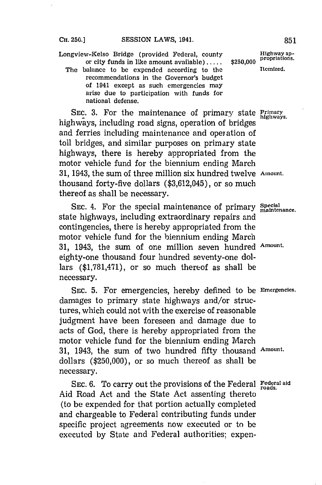CH. 250.] **SESSION LAWS, 1941. 851** 

Longview-Kelso Bridge (provided Federal, county **Highway ap-**<br>or city funds in like amount available)..... \$250.000 <sup>propriations.</sup> or city funds in like amount available).....

The balance to be expended according to the **Itemized**. recommendations in the Governor's budget of 1941 except as such emergencies may arise due to participation with funds for national defense.

SEC. 3. For the maintenance of primary state **Primary** highways, including road signs, operation of bridges and ferries including maintenance and operation of toll bridges, and similar purposes on primary state highways, there is hereby appropriated from the motor vehicle fund for the biennium ending March **31,** 1943, the sum of three million six hundred twelve **Amount.** thousand forty-five dollars **(\$3,612,045),** or so much thereof as shall be necessary.

SEC. 4. For the special maintenance of primary Special state highways, including extraordinary repairs and contingencies, there is hereby appropriated from the motor vehicle fund for the biennium ending March **31,** 1943, the sum of one million seven hundred **Amount.** eighty-one thousand four hundred seventy-one dollars **(\$1,781,471),** or so much thereof as shall be necessary.

SEC. 5. For emergencies, hereby defined to be *Emergencies*. damages to primary state highways and/or structures, which could not with the exercise of reasonable judgment have been foreseen and damage due to acts of God, there is hereby appropriated from the motor vehicle fund for the biennium ending March **31,** 1943, the sum of two hundred fifty thousand **Amount.** dollars **(\$250,000),** or so much thereof as shall be necessary.

SEC. 6. To carry out the provisions of the Federal Federal aid Aid Road Act and the State Act assenting thereto (to be expended for that portion actually completed and chargeable to Federal contributing funds under specific project agreements now executed or to be executed **by** State and Federal authorities; expen-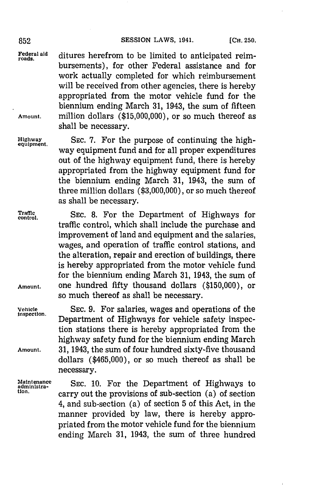### 852 **SESSION LAWS, 1941.** [CH. 250.

Federal aid ditures herefrom to be limited to anticipated reimbursements), for other Federal assistance and for work actually completed for which reimbursement will be received from other agencies, there is hereby appropriated from the motor vehicle fund for the biennium ending March **31,** 1943, the sum of fifteen **Amount,** million dollars **(\$15,000,000),** or so much thereof as shall be necessary.

**Highway SEC. 7.** For the purpose of continuing the highway equipment fund and for all proper expenditures out of the highway equipment fund, there is hereby appropriated from the highway equipment fund for the biennium ending March **31,** 1943, the sum of three million dollars **(\$3,000,000),** or so much thereof as shall be necessary.

Traffic SEC. 8. For the Department of Highways for

traffic control, which shall include the purchase and improvement of land and equipment and the salaries, wages, and operation of traffic control stations, and the alteration, repair and erection of buildings, there is hereby appropriated from the motor vehicle fund for the biennium ending March **31,** 1943, the sum of Amount. **One hundred fifty thousand dollars (\$150,000), or** so much thereof as shall be necessary.

**Vehicle SEC. 9.** For salaries, wages and operations of the **inspection.** Department of Highways for vehicle safety inspection stations there is hereby appropriated from the highway safety fund for the biennium ending March **Amount. 31,** 1943, the sum of four hundred sixty-five thousand dollars (\$465,000), or so much thereof as shall be necessary.

Maintenance SEC. 10. For the Department of Highways to administra-<br> **Reference** Security the provisions of rub section (a) of section **tion.** carry out the provisions of sub-section (a) of section 4, and sub-section (a) of section **5** of this Act, in the manner provided **by** law, there is hereby appropriated from the motor vehicle fund for the biennium ending March **31,** 1943, the sum of three hundred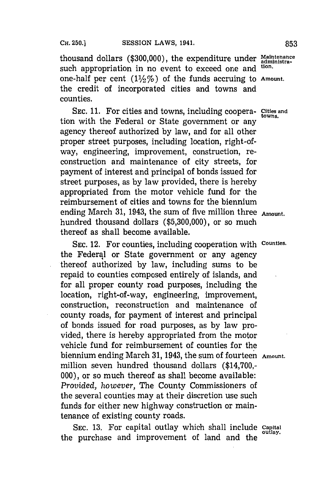thousand dollars (\$300,000), the expenditure under *Maintenance*<br>such appropriation in no event to exceed ano and <sup>tion</sup>. such appropriation in no event to exceed one and one-half per cent  $(1\frac{1}{2}\%)$  of the funds accruing to Amount. the credit of incorporated cities and towns and counties.

SEC. **11.** For cities and towns, including coopera- **Cities and** tion with the Federal or State government or any agency thereof authorized **by** law, and for all other proper street purposes, including location, right-ofway, engineering, improvement, construction, reconstruction and maintenance of city streets, for payment of interest and principal of bonds issued for street purposes, as **by** law provided, there is hereby appropriated from the motor vehicle fund for the reimbursement of cities and towns for the biennium ending March **31,** 1943, the sum of five million three **Amount.** hundred thousand dollars **(\$5,300,000),** or so much thereof as shall become available.

**SEC.** 12. For counties, including cooperation with **Counties.** the Federal or State government or any agency thereof authorized **by** law, including sums to be repaid to counties composed entirely of islands, and for all proper county road purposes, including the location, right-of-way, engineering, improvement, construction, reconstruction and maintenance of county roads, for payment of interest and principal of bonds issued for road purposes, as **by** law provided, there is hereby appropriated from the motor vehicle fund for reimbursement of counties for the biennium ending March **31,** 1943, the sum of fourteen **Amount.** million seven hundred thousand dollars (\$14,700,- **000),** or so much thereof as shall become available: *Provided, however,* The County Commissioners of the several counties may at their discretion use such funds for either new highway construction or maintenance of existing county roads.

**SEC. 13.** For capital outlay which shall include **capital** the purchase and improvement of land and the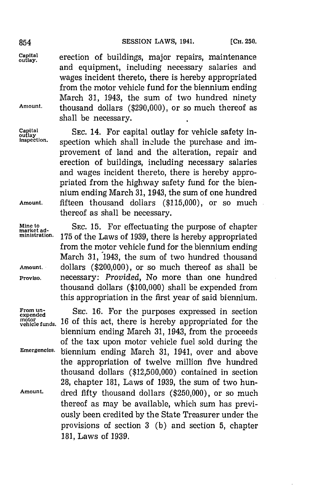**lgay.** erection of buildings, major repairs, maintenance and equipment, including necessary salaries and wages incident thereto, there is hereby appropriated from the motor vehicle fund for the biennium ending March **31,** 1943, the sum of two hundred ninety **Amount,** thousand dollars **(\$290,000),** or so much thereof as shall be necessary.

Capital SEC. 14. For capital outlay for vehicle safety in-<br> $\frac{\text{Capital}}{\text{independent}}$  spection which shall include the nurchase and imspection which shall include the purchase and improvement of land and the alteration, repair and erection of buildings, including necessary salaries and wages incident thereto, there is hereby appropriated from the highway safety fund for the biennium ending March **31,** 1943, the sum of one hundred **Amount,** fifteen thousand dollars **(\$115,000),** or so much thereof as shall be necessary.

Mine to SEC. 15. For effectuating the purpose of chapter ministration. 175 of the Laws of 1939, there is hereby appropriated from the motor vehicle fund for the biennium ending March **31,** 1943, the sum of two hundred thousand **Amount.** dollars (\$200,000), or so much thereof as shall be **Proviso,** necessary: *Provided,* No more than one hundred thousand dollars **(\$100,000)** shall be expended from this appropriation in the first year of said biennium.

From un-<br>expended<br>motor **16. of this agt, thore is house** any ananomisted few the motor vehicle funds. 16 of this act, there is hereby appropriated for the biennium ending March **31,** 1943, from the proceeds of the tax upon motor vehicle fuel sold during the **Emergencies,** biennium ending March **31,** 1941, over and above the appropriation of twelve million five hundred thousand dollars **(\$12,500,000)** contained in section **28,** chapter **181,** Laws of **1939,** the sum of two hun-**Amount.** dred fifty thousand dollars **(\$250,000),** or so much thereof as may be available, which sum has previously been credited **by** the State Treasurer under the provisions of section **3 (b)** and section **5,** chapter **181,** Laws of **1939.**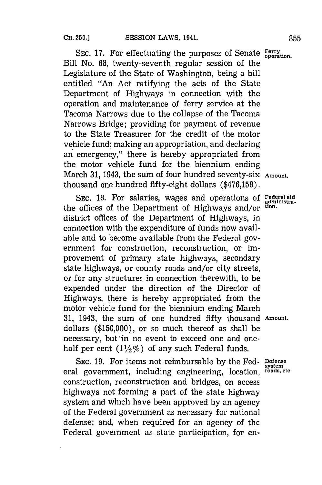SEC. 17. For effectuating the purposes of Senate Ferry **peration**. Bill No. **68,** twenty-seventh regular session of the Legislature of the State of Washington, being a bill entitled "An Act ratifying the acts of the State Department of Highways in connection with the operation and maintenance of ferry service at the Tacoma Narrows due to the collapse of the Tacoma Narrows Bridge; providing for payment of revenue to the State Treasurer for the credit of the motor vehicle fund; making an appropriation, and declaring an emergency," there is hereby appropriated from the motor vehicle fund for the biennium ending March **31,** 1943, the sum of four hundred seventy-six **Amount.** thousand one hundred fifty-eight dollars **(\$476,158).**

SEC. 18. For salaries, wages and operations of Federal aid<br>
offices of the Department of Highways and/or <sup>tion</sup>. the offices of the Department of Highways and/or **tion.** district offices of the Department of Highways, in connection with the expenditure of funds now available and to become available from the Federal government for construction, reconstruction, or improvement of primary state highways, secondary state highways, or county roads and/or city streets, or for any structures in connection therewith, to be expended under the direction of the Director of Highways, there is hereby appropriated from the motor vehicle fund for the biennium ending March **31,** 1943, the sum of one hundred fifty thousand **Amount.** dollars **(\$150,000),** or so much thereof as shall be necessary, but in no event to exceed one and onehalf per cent  $(1\frac{1}{2}\%)$  of any such Federal funds.

**SEC. 19.** For items not reimbursable **by** the Fed- **Defense** eral government, including engineering, location, **roads, etc.** construction, reconstruction and bridges, on access highways not forming a part of the state highway system and which have been approved **by** an agency of the Federal government as necessary for national defense; and, when required for an agency of the: Federal government as state participation, for en-

**system**